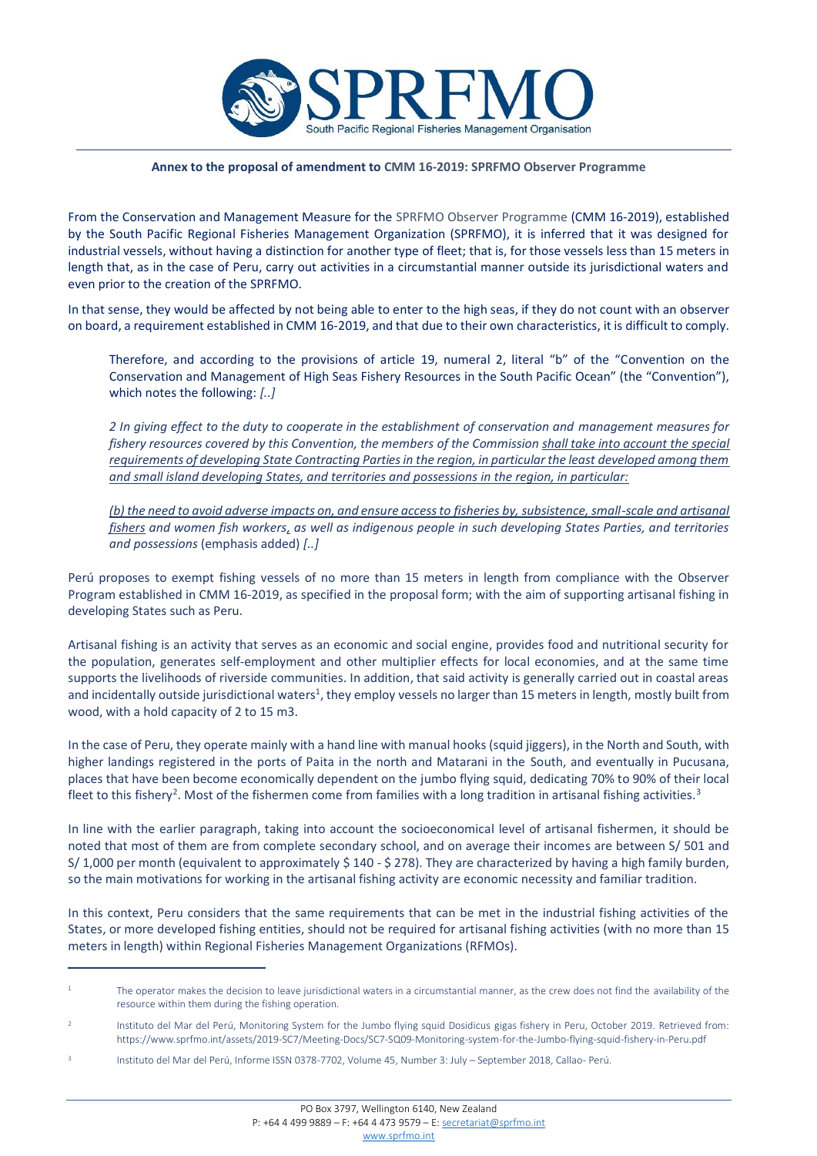

## **Annex to the proposal of amendment to CMM 16-2019: SPRFMO Observer Programme**

From the Conservation and Management Measure for the SPRFMO Observer Programme (CMM 16-2019), established by the South Pacific Regional Fisheries Management Organization (SPRFMO), it is inferred that it was designed for industrial vessels, without having a distinction for another type of fleet; that is, for those vessels less than 15 meters in length that, as in the case of Peru, carry out activities in a circumstantial manner outside its jurisdictional waters and even prior to the creation of the SPRFMO.

In that sense, they would be affected by not being able to enter to the high seas, if they do not count with an observer on board, a requirement established in CMM 16-2019, and that due to their own characteristics, it is difficult to comply.

Therefore, and according to the provisions of article 19, numeral 2, literal "b" of the "Convention on the Conservation and Management of High Seas Fishery Resources in the South Pacific Ocean" (the "Convention"), which notes the following: *[..]*

*2 In giving effect to the duty to cooperate in the establishment of conservation and management measures for fishery resources covered by this Convention, the members of the Commission shall take into account the special requirements of developing State Contracting Parties in the region, in particular the least developed among them and small island developing States, and territories and possessions in the region, in particular:* 

*(b) the need to avoid adverse impacts on, and ensure access to fisheries by, subsistence, small-scale and artisanal fishers and women fish workers, as well as indigenous people in such developing States Parties, and territories and possessions* (emphasis added) *[..]*

Perú proposes to exempt fishing vessels of no more than 15 meters in length from compliance with the Observer Program established in CMM 16-2019, as specified in the proposal form; with the aim of supporting artisanal fishing in developing States such as Peru.

Artisanal fishing is an activity that serves as an economic and social engine, provides food and nutritional security for the population, generates self-employment and other multiplier effects for local economies, and at the same time supports the livelihoods of riverside communities. In addition, that said activity is generally carried out in coastal areas and incidentally outside jurisdictional waters<sup>1</sup>, they employ vessels no larger than 15 meters in length, mostly built from wood, with a hold capacity of 2 to 15 m3.

In the case of Peru, they operate mainly with a hand line with manual hooks (squid jiggers), in the North and South, with higher landings registered in the ports of Paita in the north and Matarani in the South, and eventually in Pucusana, places that have been become economically dependent on the jumbo flying squid, dedicating 70% to 90% of their local fleet to this fishery<sup>2</sup>. Most of the fishermen come from families with a long tradition in artisanal fishing activities.<sup>3</sup>

In line with the earlier paragraph, taking into account the socioeconomical level of artisanal fishermen, it should be noted that most of them are from complete secondary school, and on average their incomes are between S/ 501 and S/ 1,000 per month (equivalent to approximately \$ 140 - \$ 278). They are characterized by having a high family burden, so the main motivations for working in the artisanal fishing activity are economic necessity and familiar tradition.

In this context, Peru considers that the same requirements that can be met in the industrial fishing activities of the States, or more developed fishing entities, should not be required for artisanal fishing activities (with no more than 15 meters in length) within Regional Fisheries Management Organizations (RFMOs).

 $\overline{a}$ 

 $1$  The operator makes the decision to leave jurisdictional waters in a circumstantial manner, as the crew does not find the availability of the resource within them during the fishing operation.

<sup>2</sup> Instituto del Mar del Perú, Monitoring System for the Jumbo flying squid Dosidicus gigas fishery in Peru, October 2019. Retrieved from: https://www.sprfmo.int/assets/2019-SC7/Meeting-Docs/SC7-SQ09-Monitoring-system-for-the-Jumbo-flying-squid-fishery-in-Peru.pdf

<sup>3</sup> Instituto del Mar del Perú, Informe ISSN 0378-7702, Volume 45, Number 3: July – September 2018, Callao- Perú.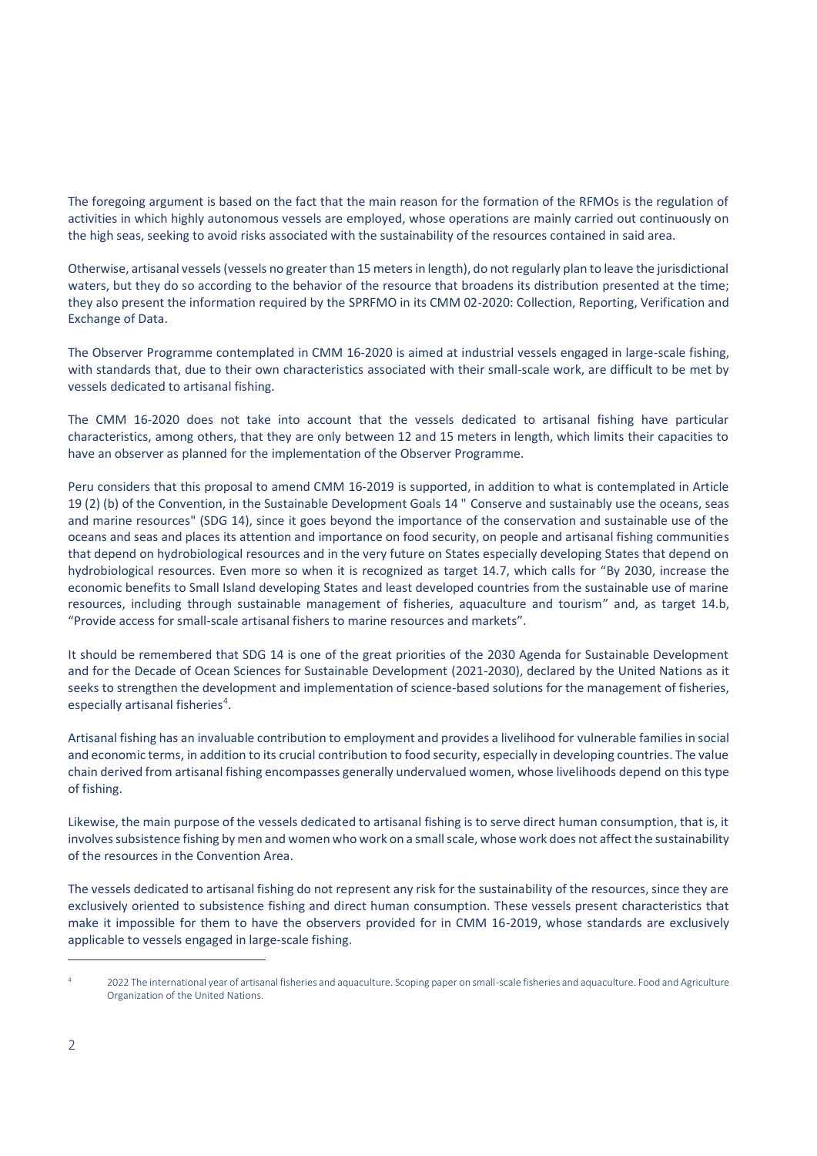The foregoing argument is based on the fact that the main reason for the formation of the RFMOs is the regulation of activities in which highly autonomous vessels are employed, whose operations are mainly carried out continuously on the high seas, seeking to avoid risks associated with the sustainability of the resources contained in said area.

Otherwise, artisanal vessels (vessels no greater than 15 meters in length), do not regularly plan to leave the jurisdictional waters, but they do so according to the behavior of the resource that broadens its distribution presented at the time; they also present the information required by the SPRFMO in its CMM 02-2020: Collection, Reporting, Verification and Exchange of Data.

The Observer Programme contemplated in CMM 16-2020 is aimed at industrial vessels engaged in large-scale fishing, with standards that, due to their own characteristics associated with their small-scale work, are difficult to be met by vessels dedicated to artisanal fishing.

The CMM 16-2020 does not take into account that the vessels dedicated to artisanal fishing have particular characteristics, among others, that they are only between 12 and 15 meters in length, which limits their capacities to have an observer as planned for the implementation of the Observer Programme.

Peru considers that this proposal to amend CMM 16-2019 is supported, in addition to what is contemplated in Article 19 (2) (b) of the Convention, in the Sustainable Development Goals 14 " Conserve and sustainably use the oceans, seas and marine resources" (SDG 14), since it goes beyond the importance of the conservation and sustainable use of the oceans and seas and places its attention and importance on food security, on people and artisanal fishing communities that depend on hydrobiological resources and in the very future on States especially developing States that depend on hydrobiological resources. Even more so when it is recognized as target 14.7, which calls for "By 2030, increase the economic benefits to Small Island developing States and least developed countries from the sustainable use of marine resources, including through sustainable management of fisheries, aquaculture and tourism" and, as target 14.b, "Provide access for small-scale artisanal fishers to marine resources and markets".

It should be remembered that SDG 14 is one of the great priorities of the 2030 Agenda for Sustainable Development and for the Decade of Ocean Sciences for Sustainable Development (2021-2030), declared by the United Nations as it seeks to strengthen the development and implementation of science-based solutions for the management of fisheries, especially artisanal fisheries<sup>4</sup>.

Artisanal fishing has an invaluable contribution to employment and provides a livelihood for vulnerable families in social and economic terms, in addition to its crucial contribution to food security, especially in developing countries. The value chain derived from artisanal fishing encompasses generally undervalued women, whose livelihoods depend on this type of fishing.

Likewise, the main purpose of the vessels dedicated to artisanal fishing is to serve direct human consumption, that is, it involves subsistence fishing by men and women who work on a small scale, whose work does not affect the sustainability of the resources in the Convention Area.

The vessels dedicated to artisanal fishing do not represent any risk for the sustainability of the resources, since they are exclusively oriented to subsistence fishing and direct human consumption. These vessels present characteristics that make it impossible for them to have the observers provided for in CMM 16-2019, whose standards are exclusively applicable to vessels engaged in large-scale fishing.

 $\overline{a}$ 

<sup>4</sup> 2022 The international year of artisanal fisheries and aquaculture. Scoping paper on small-scale fisheries and aquaculture. Food and Agriculture Organization of the United Nations.